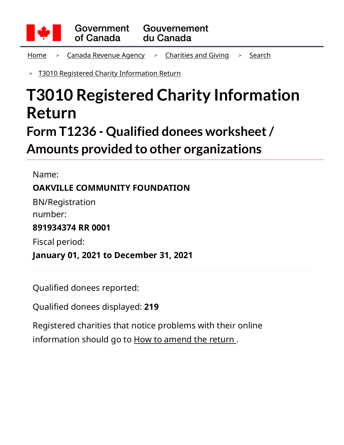

<u>[Home](https://apps.cra-arc.gc.ca/ebci/hacc/srch/pub/rdrctToLnk?linkKey=breadcrumbHome)</u> > <u>[Canada Revenue Agency](https://apps.cra-arc.gc.ca/ebci/hacc/srch/pub/rdrctToLnk?linkKey=breadcrumbCRA)</u> > <u>[Charities and Giving](https://apps.cra-arc.gc.ca/ebci/hacc/srch/pub/rdrctToLnk?linkKey=breadcrumbCharities)</u> > <u>[Search](https://apps.cra-arc.gc.ca/ebci/hacc/srch/pub/rdrctToLnk?linkKey=breadcrumbSearch)</u>

[T3010 Registered Charity Information Return](https://apps.cra-arc.gc.ca/ebci/hacc/srch/pub/t3010/v25/t3010ovrvw) >

# **T3010 Registered Charity Information Return Form T1236 - Qualified donees worksheet / Amounts provided to other organizations**

Name: **OAKVILLE COMMUNITY FOUNDATION** BN/Registration number:

**891934374 RR 0001**

Fiscal period:

**January 01, 2021 to December 31, 2021**

Qualified donees reported:

Qualified donees displayed: **219**

Registered charities that notice problems with their online information should go to [How to amend the return](https://www.canada.ca/en/revenue-agency/services/charities-giving/charities/operating-a-registered-charity/t3010-charity-return-after-you-file.html#mndng) .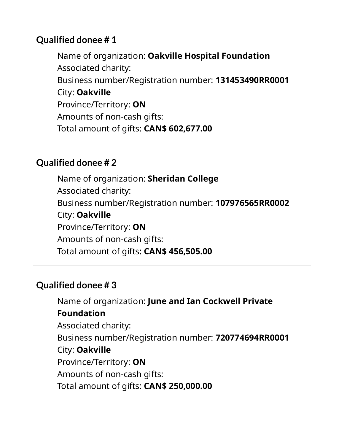Name of organization: **Oakville Hospital Foundation** Associated charity: Business number/Registration number: **131453490RR0001** City: **Oakville** Province/Territory: **ON** Amounts of non-cash gifts: Total amount of gifts: **CAN\$ 602,677.00**

#### **Qualified donee # 2**

Name of organization: **Sheridan College** Associated charity: Business number/Registration number: **107976565RR0002** City: **Oakville** Province/Territory: **ON** Amounts of non-cash gifts: Total amount of gifts: **CAN\$ 456,505.00**

# **Qualified donee # 3**

Name of organization: **June and Ian Cockwell Private Foundation** Associated charity: Business number/Registration number: **720774694RR0001** City: **Oakville** Province/Territory: **ON** Amounts of non-cash gifts: Total amount of gifts: **CAN\$ 250,000.00**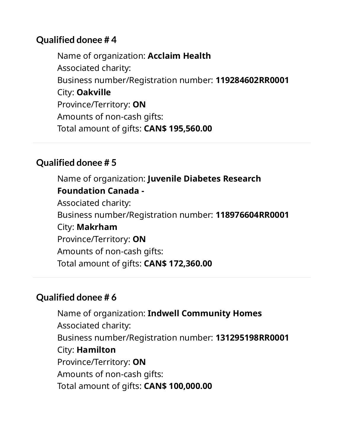Name of organization: **Acclaim Health** Associated charity: Business number/Registration number: **119284602RR0001** City: **Oakville** Province/Territory: **ON** Amounts of non-cash gifts: Total amount of gifts: **CAN\$ 195,560.00**

#### **Qualified donee # 5**

Name of organization: **Juvenile Diabetes Research Foundation Canada -** Associated charity: Business number/Registration number: **118976604RR0001** City: **Makrham** Province/Territory: **ON** Amounts of non-cash gifts: Total amount of gifts: **CAN\$ 172,360.00**

# **Qualified donee # 6**

Name of organization: **Indwell Community Homes** Associated charity: Business number/Registration number: **131295198RR0001** City: **Hamilton** Province/Territory: **ON** Amounts of non-cash gifts: Total amount of gifts: **CAN\$ 100,000.00**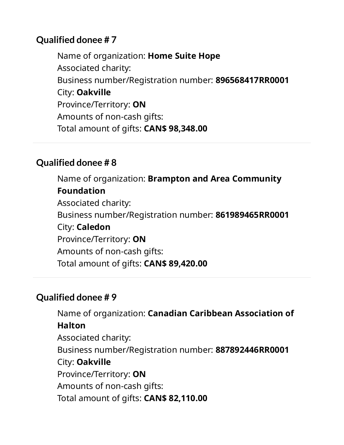Name of organization: **Home Suite Hope** Associated charity: Business number/Registration number: **896568417RR0001** City: **Oakville** Province/Territory: **ON** Amounts of non-cash gifts: Total amount of gifts: **CAN\$ 98,348.00**

## **Qualified donee # 8**

Name of organization: **Brampton and Area Community Foundation** Associated charity: Business number/Registration number: **861989465RR0001** City: **Caledon** Province/Territory: **ON** Amounts of non-cash gifts: Total amount of gifts: **CAN\$ 89,420.00**

# **Qualified donee # 9**

Name of organization: **Canadian Caribbean Association of Halton** Associated charity: Business number/Registration number: **887892446RR0001** City: **Oakville** Province/Territory: **ON** Amounts of non-cash gifts: Total amount of gifts: **CAN\$ 82,110.00**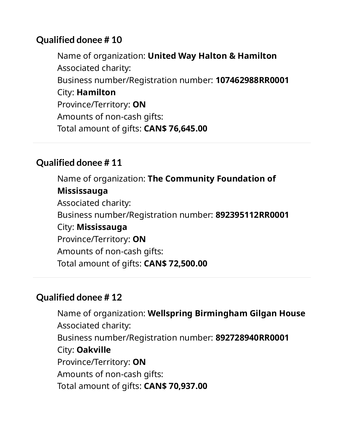Name of organization: **United Way Halton & Hamilton** Associated charity: Business number/Registration number: **107462988RR0001** City: **Hamilton** Province/Territory: **ON** Amounts of non-cash gifts: Total amount of gifts: **CAN\$ 76,645.00**

## **Qualified donee # 11**

Name of organization: **The Community Foundation of Mississauga** Associated charity: Business number/Registration number: **892395112RR0001** City: **Mississauga** Province/Territory: **ON** Amounts of non-cash gifts: Total amount of gifts: **CAN\$ 72,500.00**

# **Qualified donee # 12**

Name of organization: **Wellspring Birmingham Gilgan House** Associated charity: Business number/Registration number: **892728940RR0001** City: **Oakville** Province/Territory: **ON** Amounts of non-cash gifts: Total amount of gifts: **CAN\$ 70,937.00**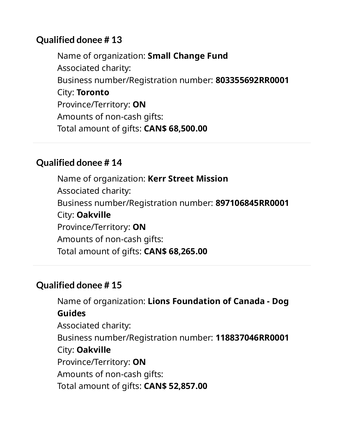Name of organization: **Small Change Fund** Associated charity: Business number/Registration number: **803355692RR0001** City: **Toronto** Province/Territory: **ON** Amounts of non-cash gifts: Total amount of gifts: **CAN\$ 68,500.00**

#### **Qualified donee # 14**

Name of organization: **Kerr Street Mission** Associated charity: Business number/Registration number: **897106845RR0001** City: **Oakville** Province/Territory: **ON** Amounts of non-cash gifts: Total amount of gifts: **CAN\$ 68,265.00**

# **Qualified donee # 15**

Name of organization: **Lions Foundation of Canada - Dog Guides** Associated charity: Business number/Registration number: **118837046RR0001** City: **Oakville** Province/Territory: **ON** Amounts of non-cash gifts: Total amount of gifts: **CAN\$ 52,857.00**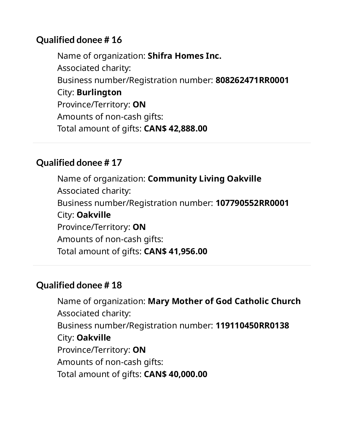Name of organization: **Shifra Homes Inc.** Associated charity: Business number/Registration number: **808262471RR0001** City: **Burlington** Province/Territory: **ON** Amounts of non-cash gifts: Total amount of gifts: **CAN\$ 42,888.00**

#### **Qualified donee # 17**

Name of organization: **Community Living Oakville** Associated charity: Business number/Registration number: **107790552RR0001** City: **Oakville** Province/Territory: **ON** Amounts of non-cash gifts: Total amount of gifts: **CAN\$ 41,956.00**

#### **Qualified donee # 18**

Name of organization: **Mary Mother of God Catholic Church** Associated charity: Business number/Registration number: **119110450RR0138** City: **Oakville** Province/Territory: **ON** Amounts of non-cash gifts: Total amount of gifts: **CAN\$ 40,000.00**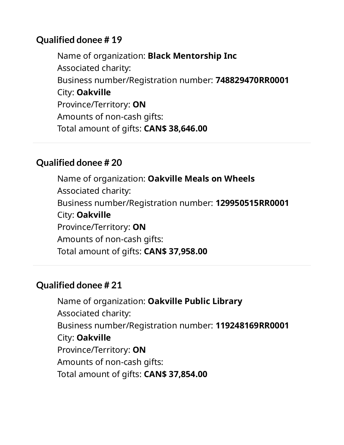Name of organization: **Black Mentorship Inc** Associated charity: Business number/Registration number: **748829470RR0001** City: **Oakville** Province/Territory: **ON** Amounts of non-cash gifts: Total amount of gifts: **CAN\$ 38,646.00**

#### **Qualified donee # 20**

Name of organization: **Oakville Meals on Wheels** Associated charity: Business number/Registration number: **129950515RR0001** City: **Oakville** Province/Territory: **ON** Amounts of non-cash gifts: Total amount of gifts: **CAN\$ 37,958.00**

# **Qualified donee # 21**

Name of organization: **Oakville Public Library** Associated charity: Business number/Registration number: **119248169RR0001** City: **Oakville** Province/Territory: **ON** Amounts of non-cash gifts: Total amount of gifts: **CAN\$ 37,854.00**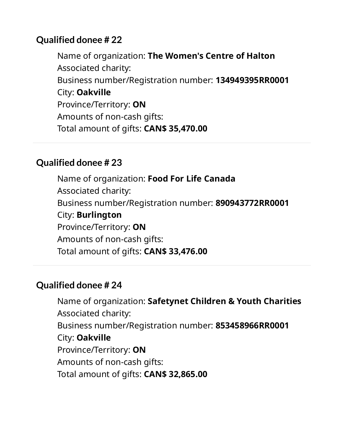Name of organization: **The Women's Centre of Halton** Associated charity: Business number/Registration number: **134949395RR0001** City: **Oakville** Province/Territory: **ON** Amounts of non-cash gifts: Total amount of gifts: **CAN\$ 35,470.00**

#### **Qualified donee # 23**

Name of organization: **Food For Life Canada** Associated charity: Business number/Registration number: **890943772RR0001** City: **Burlington** Province/Territory: **ON** Amounts of non-cash gifts: Total amount of gifts: **CAN\$ 33,476.00**

# **Qualified donee # 24**

Name of organization: **Safetynet Children & Youth Charities** Associated charity: Business number/Registration number: **853458966RR0001** City: **Oakville** Province/Territory: **ON** Amounts of non-cash gifts: Total amount of gifts: **CAN\$ 32,865.00**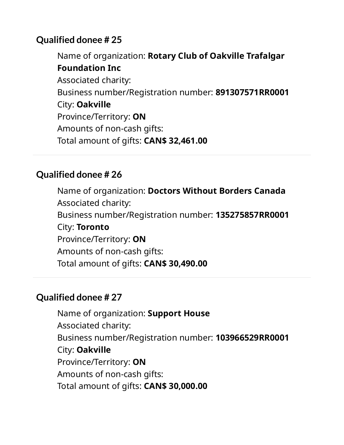Name of organization: **Rotary Club of Oakville Trafalgar Foundation Inc** Associated charity: Business number/Registration number: **891307571RR0001** City: **Oakville** Province/Territory: **ON** Amounts of non-cash gifts: Total amount of gifts: **CAN\$ 32,461.00**

# **Qualified donee # 26**

Name of organization: **Doctors Without Borders Canada** Associated charity: Business number/Registration number: **135275857RR0001** City: **Toronto** Province/Territory: **ON** Amounts of non-cash gifts: Total amount of gifts: **CAN\$ 30,490.00**

# **Qualified donee # 27**

Name of organization: **Support House** Associated charity: Business number/Registration number: **103966529RR0001** City: **Oakville** Province/Territory: **ON** Amounts of non-cash gifts: Total amount of gifts: **CAN\$ 30,000.00**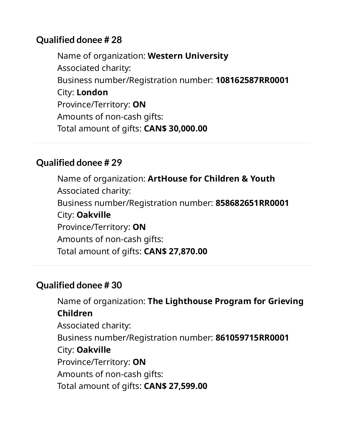Name of organization: **Western University** Associated charity: Business number/Registration number: **108162587RR0001** City: **London** Province/Territory: **ON** Amounts of non-cash gifts: Total amount of gifts: **CAN\$ 30,000.00**

#### **Qualified donee # 29**

Name of organization: **ArtHouse for Children & Youth** Associated charity: Business number/Registration number: **858682651RR0001** City: **Oakville** Province/Territory: **ON** Amounts of non-cash gifts: Total amount of gifts: **CAN\$ 27,870.00**

#### **Qualified donee # 30**

Name of organization: **The Lighthouse Program for Grieving Children** Associated charity: Business number/Registration number: **861059715RR0001** City: **Oakville** Province/Territory: **ON** Amounts of non-cash gifts: Total amount of gifts: **CAN\$ 27,599.00**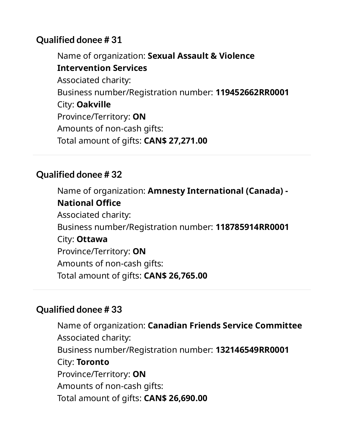Name of organization: **Sexual Assault & Violence Intervention Services** Associated charity: Business number/Registration number: **119452662RR0001** City: **Oakville** Province/Territory: **ON** Amounts of non-cash gifts: Total amount of gifts: **CAN\$ 27,271.00**

# **Qualified donee # 32**

Name of organization: **Amnesty International (Canada) - National Ofce** Associated charity: Business number/Registration number: **118785914RR0001** City: **Ottawa** Province/Territory: **ON** Amounts of non-cash gifts: Total amount of gifts: **CAN\$ 26,765.00**

# **Qualified donee # 33**

Name of organization: **Canadian Friends Service Committee** Associated charity: Business number/Registration number: **132146549RR0001** City: **Toronto** Province/Territory: **ON** Amounts of non-cash gifts: Total amount of gifts: **CAN\$ 26,690.00**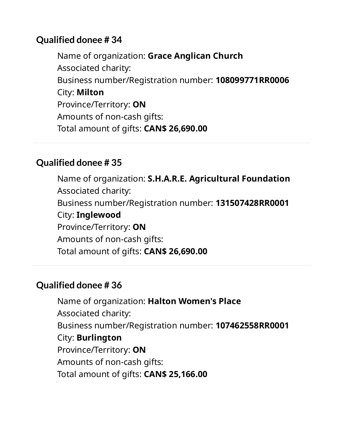Name of organization: **Grace Anglican Church** Associated charity: Business number/Registration number: **108099771RR0006** City: **Milton** Province/Territory: **ON** Amounts of non-cash gifts: Total amount of gifts: **CAN\$ 26,690.00**

## **Qualified donee # 35**

Name of organization: **S.H.A.R.E. Agricultural Foundation** Associated charity: Business number/Registration number: **131507428RR0001** City: **Inglewood** Province/Territory: **ON** Amounts of non-cash gifts: Total amount of gifts: **CAN\$ 26,690.00**

# **Qualified donee # 36**

Name of organization: **Halton Women's Place** Associated charity: Business number/Registration number: **107462558RR0001** City: **Burlington** Province/Territory: **ON** Amounts of non-cash gifts: Total amount of gifts: **CAN\$ 25,166.00**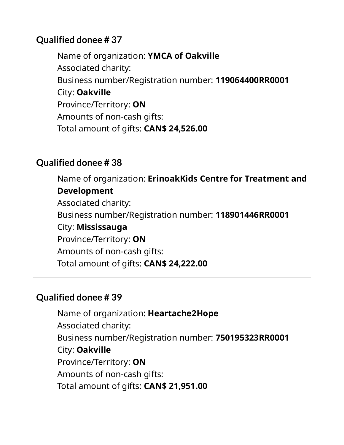Name of organization: **YMCA of Oakville** Associated charity: Business number/Registration number: **119064400RR0001** City: **Oakville** Province/Territory: **ON** Amounts of non-cash gifts: Total amount of gifts: **CAN\$ 24,526.00**

## **Qualified donee # 38**

Name of organization: **ErinoakKids Centre for Treatment and Development** Associated charity: Business number/Registration number: **118901446RR0001** City: **Mississauga** Province/Territory: **ON** Amounts of non-cash gifts: Total amount of gifts: **CAN\$ 24,222.00**

# **Qualified donee # 39**

Name of organization: **Heartache2Hope** Associated charity: Business number/Registration number: **750195323RR0001** City: **Oakville** Province/Territory: **ON** Amounts of non-cash gifts: Total amount of gifts: **CAN\$ 21,951.00**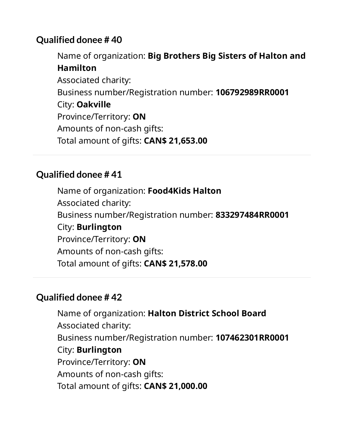Name of organization: **Big Brothers Big Sisters of Halton and Hamilton** Associated charity: Business number/Registration number: **106792989RR0001** City: **Oakville** Province/Territory: **ON** Amounts of non-cash gifts: Total amount of gifts: **CAN\$ 21,653.00**

## **Qualified donee # 41**

Name of organization: **Food4Kids Halton** Associated charity: Business number/Registration number: **833297484RR0001** City: **Burlington** Province/Territory: **ON** Amounts of non-cash gifts: Total amount of gifts: **CAN\$ 21,578.00**

# **Qualified donee # 42**

Name of organization: **Halton District School Board** Associated charity: Business number/Registration number: **107462301RR0001** City: **Burlington** Province/Territory: **ON** Amounts of non-cash gifts: Total amount of gifts: **CAN\$ 21,000.00**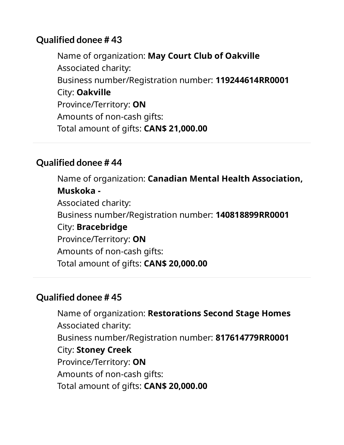Name of organization: **May Court Club of Oakville** Associated charity: Business number/Registration number: **119244614RR0001** City: **Oakville** Province/Territory: **ON** Amounts of non-cash gifts: Total amount of gifts: **CAN\$ 21,000.00**

## **Qualified donee # 44**

Name of organization: **Canadian Mental Health Association, Muskoka -** Associated charity: Business number/Registration number: **140818899RR0001** City: **Bracebridge** Province/Territory: **ON** Amounts of non-cash gifts: Total amount of gifts: **CAN\$ 20,000.00**

# **Qualified donee # 45**

Name of organization: **Restorations Second Stage Homes** Associated charity: Business number/Registration number: **817614779RR0001** City: **Stoney Creek** Province/Territory: **ON** Amounts of non-cash gifts: Total amount of gifts: **CAN\$ 20,000.00**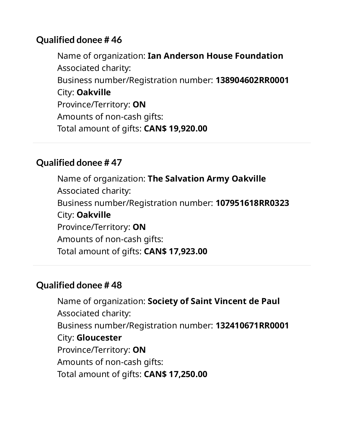Name of organization: **Ian Anderson House Foundation** Associated charity: Business number/Registration number: **138904602RR0001** City: **Oakville** Province/Territory: **ON** Amounts of non-cash gifts: Total amount of gifts: **CAN\$ 19,920.00**

#### **Qualified donee # 47**

Name of organization: **The Salvation Army Oakville** Associated charity: Business number/Registration number: **107951618RR0323** City: **Oakville** Province/Territory: **ON** Amounts of non-cash gifts: Total amount of gifts: **CAN\$ 17,923.00**

# **Qualified donee # 48**

Name of organization: **Society of Saint Vincent de Paul** Associated charity: Business number/Registration number: **132410671RR0001** City: **Gloucester** Province/Territory: **ON** Amounts of non-cash gifts: Total amount of gifts: **CAN\$ 17,250.00**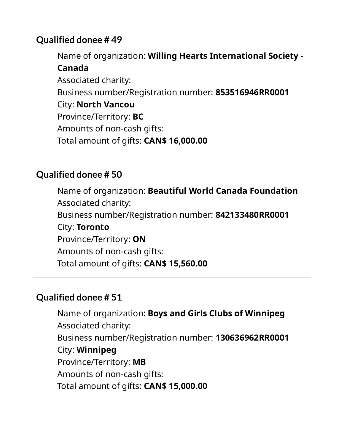Name of organization: **Willing Hearts International Society - Canada** Associated charity: Business number/Registration number: **853516946RR0001** City: **North Vancou** Province/Territory: **BC** Amounts of non-cash gifts: Total amount of gifts: **CAN\$ 16,000.00**

## **Qualified donee # 50**

Name of organization: **Beautiful World Canada Foundation** Associated charity: Business number/Registration number: **842133480RR0001** City: **Toronto** Province/Territory: **ON** Amounts of non-cash gifts: Total amount of gifts: **CAN\$ 15,560.00**

# **Qualified donee # 51**

Name of organization: **Boys and Girls Clubs of Winnipeg** Associated charity: Business number/Registration number: **130636962RR0001** City: **Winnipeg** Province/Territory: **MB** Amounts of non-cash gifts: Total amount of gifts: **CAN\$ 15,000.00**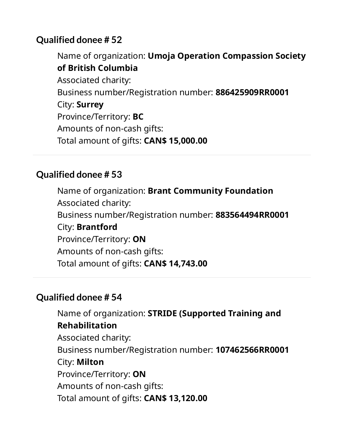Name of organization: **Umoja Operation Compassion Society of British Columbia** Associated charity: Business number/Registration number: **886425909RR0001** City: **Surrey** Province/Territory: **BC** Amounts of non-cash gifts: Total amount of gifts: **CAN\$ 15,000.00**

#### **Qualified donee # 53**

Name of organization: **Brant Community Foundation** Associated charity: Business number/Registration number: **883564494RR0001** City: **Brantford** Province/Territory: **ON** Amounts of non-cash gifts: Total amount of gifts: **CAN\$ 14,743.00**

#### **Qualified donee # 54**

Name of organization: **STRIDE (Supported Training and Rehabilitation** Associated charity: Business number/Registration number: **107462566RR0001** City: **Milton** Province/Territory: **ON** Amounts of non-cash gifts: Total amount of gifts: **CAN\$ 13,120.00**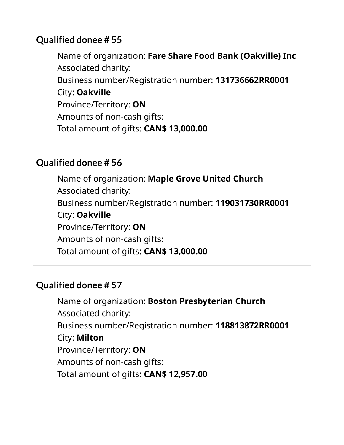Name of organization: **Fare Share Food Bank (Oakville) Inc** Associated charity: Business number/Registration number: **131736662RR0001** City: **Oakville** Province/Territory: **ON** Amounts of non-cash gifts: Total amount of gifts: **CAN\$ 13,000.00**

#### **Qualified donee # 56**

Name of organization: **Maple Grove United Church** Associated charity: Business number/Registration number: **119031730RR0001** City: **Oakville** Province/Territory: **ON** Amounts of non-cash gifts: Total amount of gifts: **CAN\$ 13,000.00**

# **Qualified donee # 57**

Name of organization: **Boston Presbyterian Church** Associated charity: Business number/Registration number: **118813872RR0001** City: **Milton** Province/Territory: **ON** Amounts of non-cash gifts: Total amount of gifts: **CAN\$ 12,957.00**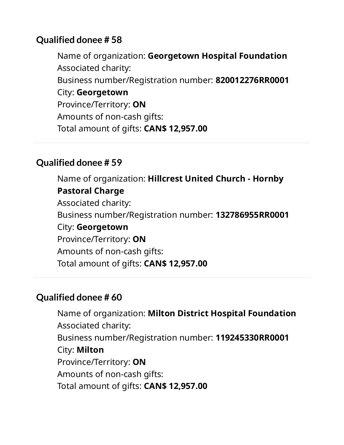Name of organization: **Georgetown Hospital Foundation** Associated charity: Business number/Registration number: **820012276RR0001** City: **Georgetown** Province/Territory: **ON** Amounts of non-cash gifts: Total amount of gifts: **CAN\$ 12,957.00**

#### **Qualified donee # 59**

Name of organization: **Hillcrest United Church - Hornby Pastoral Charge** Associated charity: Business number/Registration number: **132786955RR0001** City: **Georgetown** Province/Territory: **ON** Amounts of non-cash gifts: Total amount of gifts: **CAN\$ 12,957.00**

# **Qualified donee # 60**

Name of organization: **Milton District Hospital Foundation** Associated charity: Business number/Registration number: **119245330RR0001** City: **Milton** Province/Territory: **ON** Amounts of non-cash gifts: Total amount of gifts: **CAN\$ 12,957.00**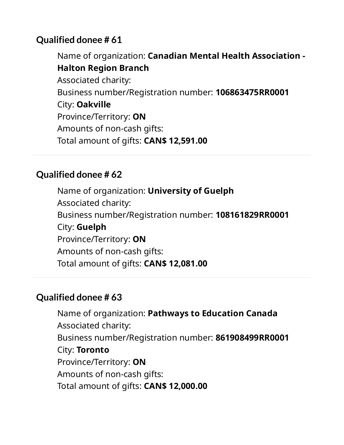Name of organization: **Canadian Mental Health Association - Halton Region Branch** Associated charity: Business number/Registration number: **106863475RR0001** City: **Oakville** Province/Territory: **ON** Amounts of non-cash gifts: Total amount of gifts: **CAN\$ 12,591.00**

## **Qualified donee # 62**

Name of organization: **University of Guelph** Associated charity: Business number/Registration number: **108161829RR0001** City: **Guelph** Province/Territory: **ON** Amounts of non-cash gifts: Total amount of gifts: **CAN\$ 12,081.00**

#### **Qualified donee # 63**

Name of organization: **Pathways to Education Canada** Associated charity: Business number/Registration number: **861908499RR0001** City: **Toronto** Province/Territory: **ON** Amounts of non-cash gifts: Total amount of gifts: **CAN\$ 12,000.00**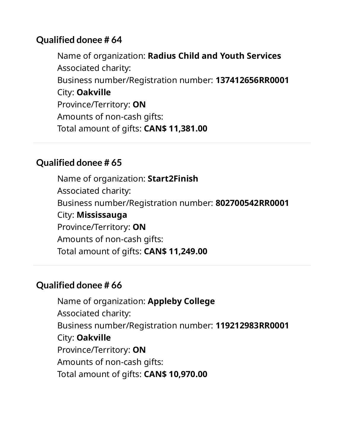Name of organization: **Radius Child and Youth Services** Associated charity: Business number/Registration number: **137412656RR0001** City: **Oakville** Province/Territory: **ON** Amounts of non-cash gifts: Total amount of gifts: **CAN\$ 11,381.00**

#### **Qualified donee # 65**

Name of organization: **Start2Finish** Associated charity: Business number/Registration number: **802700542RR0001** City: **Mississauga** Province/Territory: **ON** Amounts of non-cash gifts: Total amount of gifts: **CAN\$ 11,249.00**

# **Qualified donee # 66**

Name of organization: **Appleby College** Associated charity: Business number/Registration number: **119212983RR0001** City: **Oakville** Province/Territory: **ON** Amounts of non-cash gifts: Total amount of gifts: **CAN\$ 10,970.00**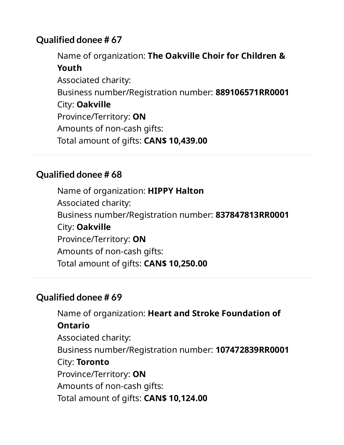Name of organization: **The Oakville Choir for Children & Youth** Associated charity: Business number/Registration number: **889106571RR0001** City: **Oakville** Province/Territory: **ON** Amounts of non-cash gifts: Total amount of gifts: **CAN\$ 10,439.00**

## **Qualified donee # 68**

Name of organization: **HIPPY Halton** Associated charity: Business number/Registration number: **837847813RR0001** City: **Oakville** Province/Territory: **ON** Amounts of non-cash gifts: Total amount of gifts: **CAN\$ 10,250.00**

#### **Qualified donee # 69**

Name of organization: **Heart and Stroke Foundation of Ontario** Associated charity: Business number/Registration number: **107472839RR0001** City: **Toronto** Province/Territory: **ON** Amounts of non-cash gifts: Total amount of gifts: **CAN\$ 10,124.00**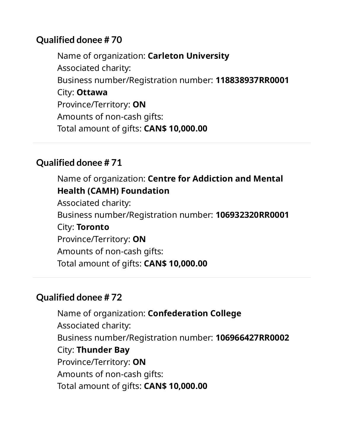Name of organization: **Carleton University** Associated charity: Business number/Registration number: **118838937RR0001** City: **Ottawa** Province/Territory: **ON** Amounts of non-cash gifts: Total amount of gifts: **CAN\$ 10,000.00**

# **Qualified donee # 71**

Name of organization: **Centre for Addiction and Mental Health (CAMH) Foundation** Associated charity: Business number/Registration number: **106932320RR0001** City: **Toronto** Province/Territory: **ON** Amounts of non-cash gifts: Total amount of gifts: **CAN\$ 10,000.00**

# **Qualified donee # 72**

Name of organization: **Confederation College** Associated charity: Business number/Registration number: **106966427RR0002** City: **Thunder Bay** Province/Territory: **ON** Amounts of non-cash gifts: Total amount of gifts: **CAN\$ 10,000.00**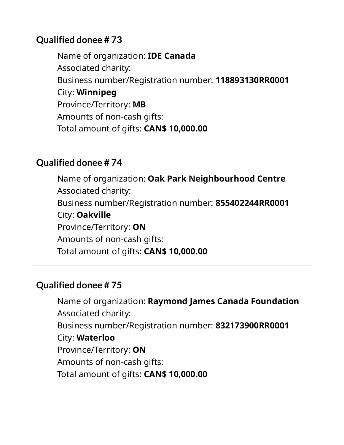Name of organization: **IDE Canada** Associated charity: Business number/Registration number: **118893130RR0001** City: **Winnipeg** Province/Territory: **MB** Amounts of non-cash gifts: Total amount of gifts: **CAN\$ 10,000.00**

#### **Qualified donee # 74**

Name of organization: **Oak Park Neighbourhood Centre** Associated charity: Business number/Registration number: **855402244RR0001** City: **Oakville** Province/Territory: **ON** Amounts of non-cash gifts: Total amount of gifts: **CAN\$ 10,000.00**

# **Qualified donee # 75**

Name of organization: **Raymond James Canada Foundation** Associated charity: Business number/Registration number: **832173900RR0001** City: **Waterloo** Province/Territory: **ON** Amounts of non-cash gifts: Total amount of gifts: **CAN\$ 10,000.00**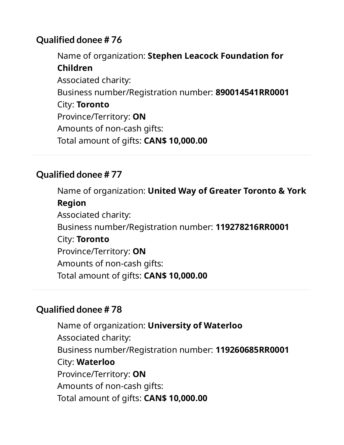Name of organization: **Stephen Leacock Foundation for Children** Associated charity: Business number/Registration number: **890014541RR0001** City: **Toronto** Province/Territory: **ON** Amounts of non-cash gifts: Total amount of gifts: **CAN\$ 10,000.00**

## **Qualified donee # 77**

Name of organization: **United Way of Greater Toronto & York Region** Associated charity: Business number/Registration number: **119278216RR0001** City: **Toronto** Province/Territory: **ON** Amounts of non-cash gifts: Total amount of gifts: **CAN\$ 10,000.00**

# **Qualified donee # 78**

Name of organization: **University of Waterloo** Associated charity: Business number/Registration number: **119260685RR0001** City: **Waterloo** Province/Territory: **ON** Amounts of non-cash gifts: Total amount of gifts: **CAN\$ 10,000.00**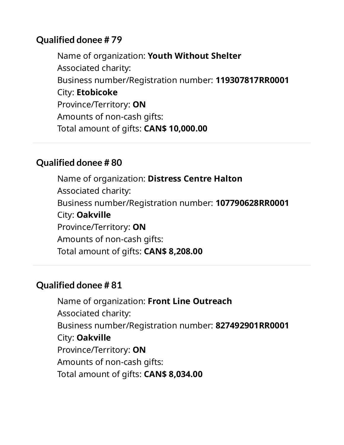Name of organization: **Youth Without Shelter** Associated charity: Business number/Registration number: **119307817RR0001** City: **Etobicoke** Province/Territory: **ON** Amounts of non-cash gifts: Total amount of gifts: **CAN\$ 10,000.00**

#### **Qualified donee # 80**

Name of organization: **Distress Centre Halton** Associated charity: Business number/Registration number: **107790628RR0001** City: **Oakville** Province/Territory: **ON** Amounts of non-cash gifts: Total amount of gifts: **CAN\$ 8,208.00**

# **Qualified donee # 81**

Name of organization: **Front Line Outreach** Associated charity: Business number/Registration number: **827492901RR0001** City: **Oakville** Province/Territory: **ON** Amounts of non-cash gifts: Total amount of gifts: **CAN\$ 8,034.00**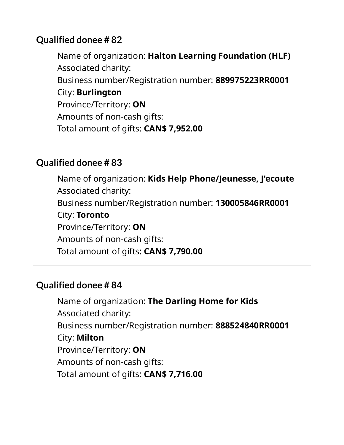Name of organization: **Halton Learning Foundation (HLF)** Associated charity: Business number/Registration number: **889975223RR0001** City: **Burlington** Province/Territory: **ON** Amounts of non-cash gifts: Total amount of gifts: **CAN\$ 7,952.00**

#### **Qualified donee # 83**

Name of organization: **Kids Help Phone/Jeunesse, J'ecoute** Associated charity: Business number/Registration number: **130005846RR0001** City: **Toronto** Province/Territory: **ON** Amounts of non-cash gifts: Total amount of gifts: **CAN\$ 7,790.00**

#### **Qualified donee # 84**

Name of organization: **The Darling Home for Kids** Associated charity: Business number/Registration number: **888524840RR0001** City: **Milton** Province/Territory: **ON** Amounts of non-cash gifts: Total amount of gifts: **CAN\$ 7,716.00**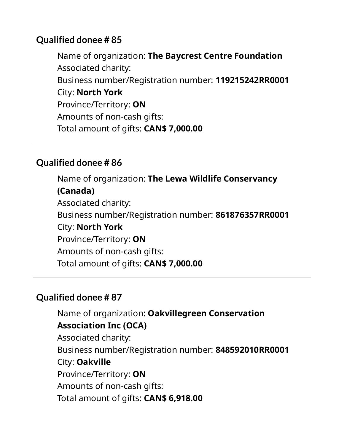Name of organization: **The Baycrest Centre Foundation** Associated charity: Business number/Registration number: **119215242RR0001** City: **North York** Province/Territory: **ON** Amounts of non-cash gifts: Total amount of gifts: **CAN\$ 7,000.00**

## **Qualified donee # 86**

Name of organization: **The Lewa Wildlife Conservancy (Canada)** Associated charity: Business number/Registration number: **861876357RR0001** City: **North York** Province/Territory: **ON** Amounts of non-cash gifts: Total amount of gifts: **CAN\$ 7,000.00**

# **Qualified donee # 87**

Name of organization: **Oakvillegreen Conservation Association Inc (OCA)** Associated charity: Business number/Registration number: **848592010RR0001** City: **Oakville** Province/Territory: **ON** Amounts of non-cash gifts: Total amount of gifts: **CAN\$ 6,918.00**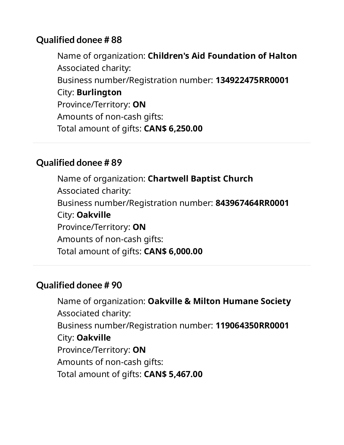Name of organization: **Children's Aid Foundation of Halton** Associated charity: Business number/Registration number: **134922475RR0001** City: **Burlington** Province/Territory: **ON** Amounts of non-cash gifts: Total amount of gifts: **CAN\$ 6,250.00**

#### **Qualified donee # 89**

Name of organization: **Chartwell Baptist Church** Associated charity: Business number/Registration number: **843967464RR0001** City: **Oakville** Province/Territory: **ON** Amounts of non-cash gifts: Total amount of gifts: **CAN\$ 6,000.00**

# **Qualified donee # 90**

Name of organization: **Oakville & Milton Humane Society** Associated charity: Business number/Registration number: **119064350RR0001** City: **Oakville** Province/Territory: **ON** Amounts of non-cash gifts: Total amount of gifts: **CAN\$ 5,467.00**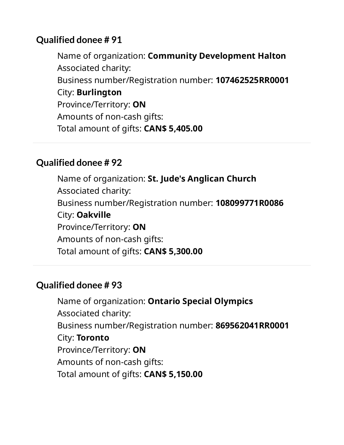Name of organization: **Community Development Halton** Associated charity: Business number/Registration number: **107462525RR0001** City: **Burlington** Province/Territory: **ON** Amounts of non-cash gifts: Total amount of gifts: **CAN\$ 5,405.00**

#### **Qualified donee # 92**

Name of organization: **St. Jude's Anglican Church** Associated charity: Business number/Registration number: **108099771R0086** City: **Oakville** Province/Territory: **ON** Amounts of non-cash gifts: Total amount of gifts: **CAN\$ 5,300.00**

# **Qualified donee # 93**

Name of organization: **Ontario Special Olympics** Associated charity: Business number/Registration number: **869562041RR0001** City: **Toronto** Province/Territory: **ON** Amounts of non-cash gifts: Total amount of gifts: **CAN\$ 5,150.00**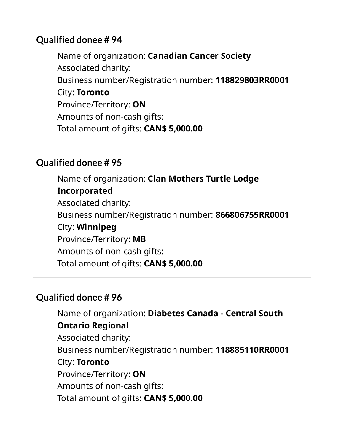Name of organization: **Canadian Cancer Society** Associated charity: Business number/Registration number: **118829803RR0001** City: **Toronto** Province/Territory: **ON** Amounts of non-cash gifts: Total amount of gifts: **CAN\$ 5,000.00**

# **Qualified donee # 95**

Name of organization: **Clan Mothers Turtle Lodge Incorporated** Associated charity: Business number/Registration number: **866806755RR0001** City: **Winnipeg** Province/Territory: **MB** Amounts of non-cash gifts: Total amount of gifts: **CAN\$ 5,000.00**

# **Qualified donee # 96**

Name of organization: **Diabetes Canada - Central South Ontario Regional** Associated charity: Business number/Registration number: **118885110RR0001** City: **Toronto** Province/Territory: **ON** Amounts of non-cash gifts: Total amount of gifts: **CAN\$ 5,000.00**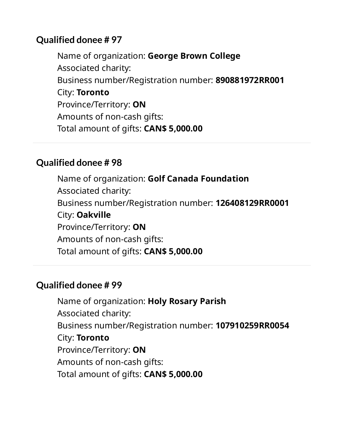Name of organization: **George Brown College** Associated charity: Business number/Registration number: **890881972RR001** City: **Toronto** Province/Territory: **ON** Amounts of non-cash gifts: Total amount of gifts: **CAN\$ 5,000.00**

#### **Qualified donee # 98**

Name of organization: **Golf Canada Foundation** Associated charity: Business number/Registration number: **126408129RR0001** City: **Oakville** Province/Territory: **ON** Amounts of non-cash gifts: Total amount of gifts: **CAN\$ 5,000.00**

#### **Qualified donee # 99**

Name of organization: **Holy Rosary Parish** Associated charity: Business number/Registration number: **107910259RR0054** City: **Toronto** Province/Territory: **ON** Amounts of non-cash gifts: Total amount of gifts: **CAN\$ 5,000.00**